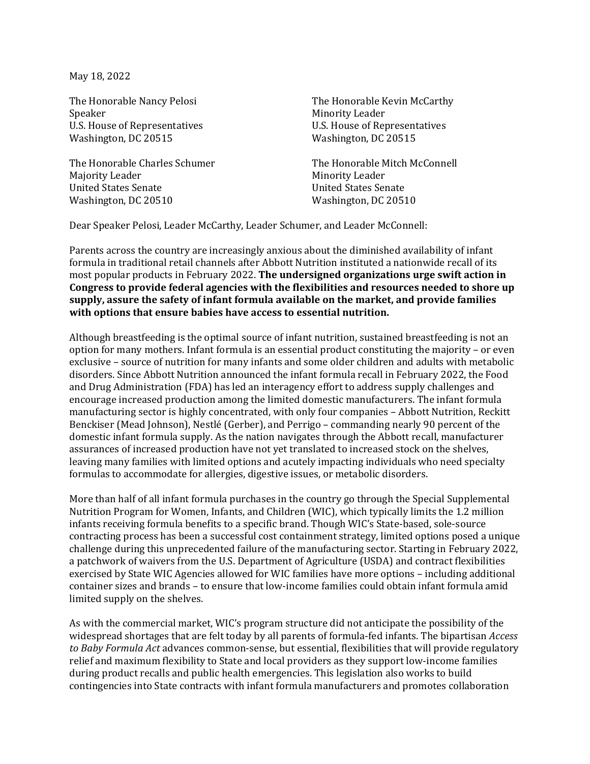May 18, 2022

U.S. House of Representatives U.S. House of Representatives<br>Washington, DC 20515 Washington, DC 20515 Washington, DC 20515

The Honorable Charles Schumer<br>
Majority Leader
Majority Leader
Majority Leader

Majority Leader

The Honorable Mitch McConnell Majority Leader<br>
United States Senate<br>
United States Senate<br>
United States Senate United States Senate<br>Washington, DC 20510

The Honorable Nancy Pelosi The Honorable Kevin McCarthy<br>Speaker Minority Leader Minority Leader<br>U.S. House of Representatives

Washington, DC 20510

Dear Speaker Pelosi, Leader McCarthy, Leader Schumer, and Leader McConnell:

Parents across the country are increasingly anxious about the diminished availability of infant formula in traditional retail channels after Abbott Nutrition instituted a nationwide recall of its most popular products in February 2022. **The undersigned organizations urge swift action in Congress to provide federal agencies with the flexibilities and resources needed to shore up supply, assure the safety of infant formula available on the market, and provide families with options that ensure babies have access to essential nutrition.**

Although breastfeeding is the optimal source of infant nutrition, sustained breastfeeding is not an option for many mothers. Infant formula is an essential product constituting the majority – or even exclusive – source of nutrition for many infants and some older children and adults with metabolic disorders. Since Abbott Nutrition announced the infant formula recall in February 2022, the Food and Drug Administration (FDA) has led an interagency effort to address supply challenges and encourage increased production among the limited domestic manufacturers. The infant formula manufacturing sector is highly concentrated, with only four companies – Abbott Nutrition, Reckitt Benckiser (Mead Johnson), Nestlé (Gerber), and Perrigo – commanding nearly 90 percent of the domestic infant formula supply. As the nation navigates through the Abbott recall, manufacturer assurances of increased production have not yet translated to increased stock on the shelves, leaving many families with limited options and acutely impacting individuals who need specialty formulas to accommodate for allergies, digestive issues, or metabolic disorders.

More than half of all infant formula purchases in the country go through the Special Supplemental Nutrition Program for Women, Infants, and Children (WIC), which typically limits the 1.2 million infants receiving formula benefits to a specific brand. Though WIC's State-based, sole-source contracting process has been a successful cost containment strategy, limited options posed a unique challenge during this unprecedented failure of the manufacturing sector. Starting in February 2022, a patchwork of waivers from the U.S. Department of Agriculture (USDA) and contract flexibilities exercised by State WIC Agencies allowed for WIC families have more options – including additional container sizes and brands – to ensure that low-income families could obtain infant formula amid limited supply on the shelves.

As with the commercial market, WIC's program structure did not anticipate the possibility of the widespread shortages that are felt today by all parents of formula-fed infants. The bipartisan *Access to Baby Formula Act* advances common-sense, but essential, flexibilities that will provide regulatory relief and maximum flexibility to State and local providers as they support low-income families during product recalls and public health emergencies. This legislation also works to build contingencies into State contracts with infant formula manufacturers and promotes collaboration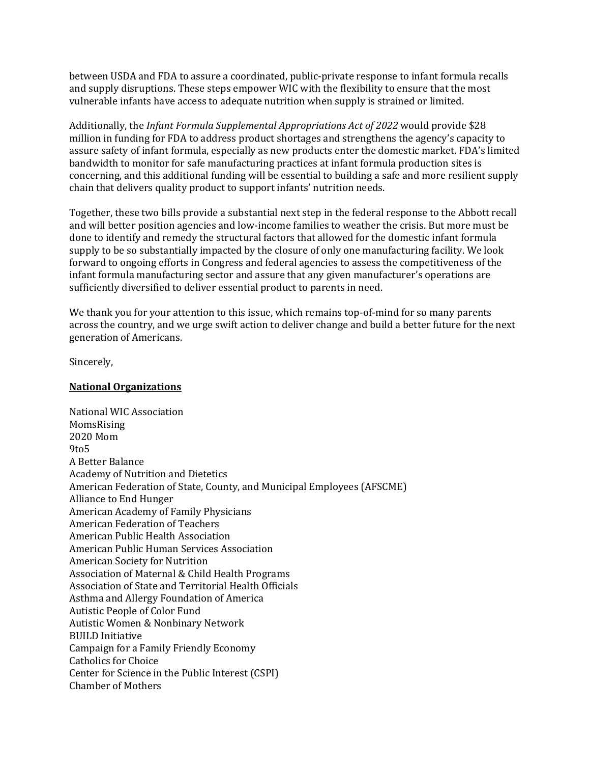between USDA and FDA to assure a coordinated, public-private response to infant formula recalls and supply disruptions. These steps empower WIC with the flexibility to ensure that the most vulnerable infants have access to adequate nutrition when supply is strained or limited.

Additionally, the *Infant Formula Supplemental Appropriations Act of 2022* would provide \$28 million in funding for FDA to address product shortages and strengthens the agency's capacity to assure safety of infant formula, especially as new products enter the domestic market. FDA's limited bandwidth to monitor for safe manufacturing practices at infant formula production sites is concerning, and this additional funding will be essential to building a safe and more resilient supply chain that delivers quality product to support infants' nutrition needs.

Together, these two bills provide a substantial next step in the federal response to the Abbott recall and will better position agencies and low-income families to weather the crisis. But more must be done to identify and remedy the structural factors that allowed for the domestic infant formula supply to be so substantially impacted by the closure of only one manufacturing facility. We look forward to ongoing efforts in Congress and federal agencies to assess the competitiveness of the infant formula manufacturing sector and assure that any given manufacturer's operations are sufficiently diversified to deliver essential product to parents in need.

We thank you for your attention to this issue, which remains top-of-mind for so many parents across the country, and we urge swift action to deliver change and build a better future for the next generation of Americans.

Sincerely,

## **National Organizations**

National WIC Association MomsRising 2020 Mom 9to5 A Better Balance Academy of Nutrition and Dietetics American Federation of State, County, and Municipal Employees (AFSCME) Alliance to End Hunger American Academy of Family Physicians American Federation of Teachers American Public Health Association American Public Human Services Association American Society for Nutrition Association of Maternal & Child Health Programs Association of State and Territorial Health Officials Asthma and Allergy Foundation of America Autistic People of Color Fund Autistic Women & Nonbinary Network BUILD Initiative Campaign for a Family Friendly Economy Catholics for Choice Center for Science in the Public Interest (CSPI) Chamber of Mothers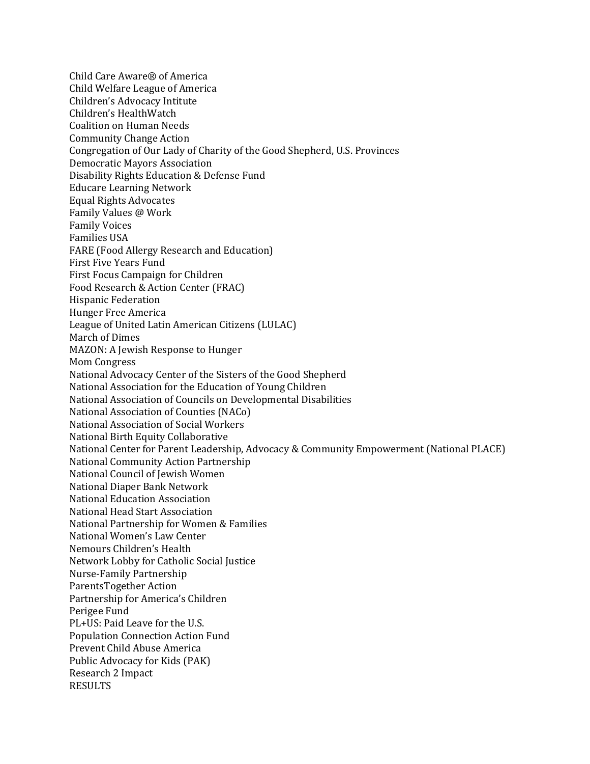Child Care Aware® of America Child Welfare League of America Children's Advocacy Intitute Children's HealthWatch Coalition on Human Needs Community Change Action Congregation of Our Lady of Charity of the Good Shepherd, U.S. Provinces Democratic Mayors Association Disability Rights Education & Defense Fund Educare Learning Network Equal Rights Advocates Family Values @ Work Family Voices Families USA FARE (Food Allergy Research and Education) First Five Years Fund First Focus Campaign for Children Food Research & Action Center (FRAC) Hispanic Federation Hunger Free America League of United Latin American Citizens (LULAC) March of Dimes MAZON: A Jewish Response to Hunger Mom Congress National Advocacy Center of the Sisters of the Good Shepherd National Association for the Education of Young Children National Association of Councils on Developmental Disabilities National Association of Counties (NACo) National Association of Social Workers National Birth Equity Collaborative National Center for Parent Leadership, Advocacy & Community Empowerment (National PLACE) National Community Action Partnership National Council of Jewish Women National Diaper Bank Network National Education Association National Head Start Association National Partnership for Women & Families National Women's Law Center Nemours Children's Health Network Lobby for Catholic Social Justice Nurse-Family Partnership ParentsTogether Action Partnership for America's Children Perigee Fund PL+US: Paid Leave for the U.S. Population Connection Action Fund Prevent Child Abuse America Public Advocacy for Kids (PAK) Research 2 Impact RESULTS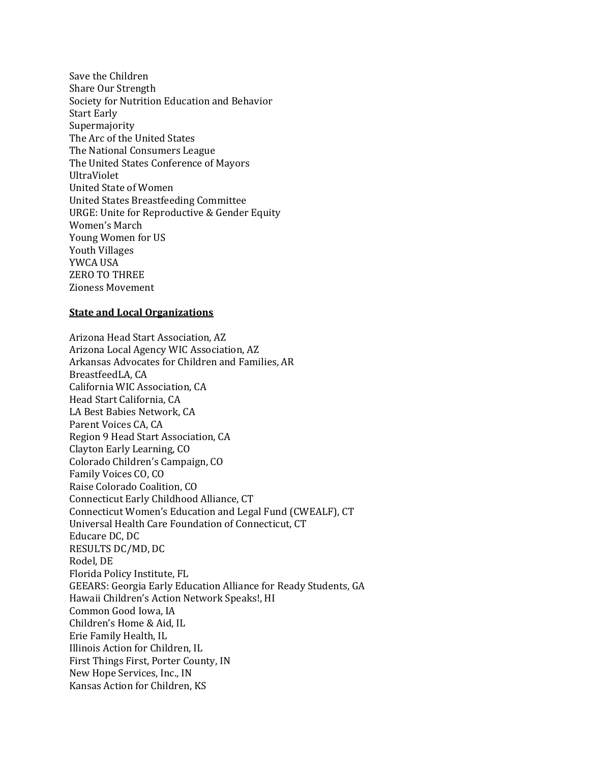Save the Children Share Our Strength Society for Nutrition Education and Behavior Start Early Supermajority The Arc of the United States The National Consumers League The United States Conference of Mayors UltraViolet United State of Women United States Breastfeeding Committee URGE: Unite for Reproductive & Gender Equity Women's March Young Women for US Youth Villages YWCA USA ZERO TO THREE Zioness Movement

## **State and Local Organizations**

Arizona Head Start Association, AZ Arizona Local Agency WIC Association, AZ Arkansas Advocates for Children and Families, AR BreastfeedLA, CA California WIC Association, CA Head Start California, CA LA Best Babies Network, CA Parent Voices CA, CA Region 9 Head Start Association, CA Clayton Early Learning, CO Colorado Children's Campaign, CO Family Voices CO, CO Raise Colorado Coalition, CO Connecticut Early Childhood Alliance, CT Connecticut Women's Education and Legal Fund (CWEALF), CT Universal Health Care Foundation of Connecticut, CT Educare DC, DC RESULTS DC/MD, DC Rodel, DE Florida Policy Institute, FL GEEARS: Georgia Early Education Alliance for Ready Students, GA Hawaii Children's Action Network Speaks!, HI Common Good Iowa, IA Children's Home & Aid, IL Erie Family Health, IL Illinois Action for Children, IL First Things First, Porter County, IN New Hope Services, Inc., IN Kansas Action for Children, KS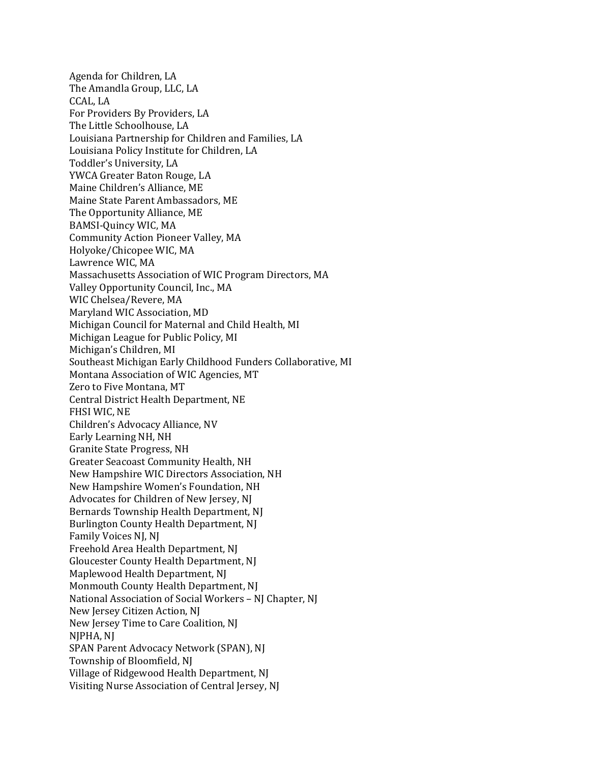Agenda for Children, LA The Amandla Group, LLC, LA CCAL, LA For Providers By Providers, LA The Little Schoolhouse, LA Louisiana Partnership for Children and Families, LA Louisiana Policy Institute for Children, LA Toddler's University, LA YWCA Greater Baton Rouge, LA Maine Children's Alliance, ME Maine State Parent Ambassadors, ME The Opportunity Alliance, ME BAMSI-Quincy WIC, MA Community Action Pioneer Valley, MA Holyoke/Chicopee WIC, MA Lawrence WIC, MA Massachusetts Association of WIC Program Directors, MA Valley Opportunity Council, Inc., MA WIC Chelsea/Revere, MA Maryland WIC Association, MD Michigan Council for Maternal and Child Health, MI Michigan League for Public Policy, MI Michigan's Children, MI Southeast Michigan Early Childhood Funders Collaborative, MI Montana Association of WIC Agencies, MT Zero to Five Montana, MT Central District Health Department, NE FHSI WIC, NE Children's Advocacy Alliance, NV Early Learning NH, NH Granite State Progress, NH Greater Seacoast Community Health, NH New Hampshire WIC Directors Association, NH New Hampshire Women's Foundation, NH Advocates for Children of New Jersey, NJ Bernards Township Health Department, NJ Burlington County Health Department, NJ Family Voices NJ, NJ Freehold Area Health Department, NJ Gloucester County Health Department, NJ Maplewood Health Department, NJ Monmouth County Health Department, NJ National Association of Social Workers – NJ Chapter, NJ New Jersey Citizen Action, NJ New Jersey Time to Care Coalition, NJ NJPHA, NJ SPAN Parent Advocacy Network (SPAN), NJ Township of Bloomfield, NJ Village of Ridgewood Health Department, NJ Visiting Nurse Association of Central Jersey, NJ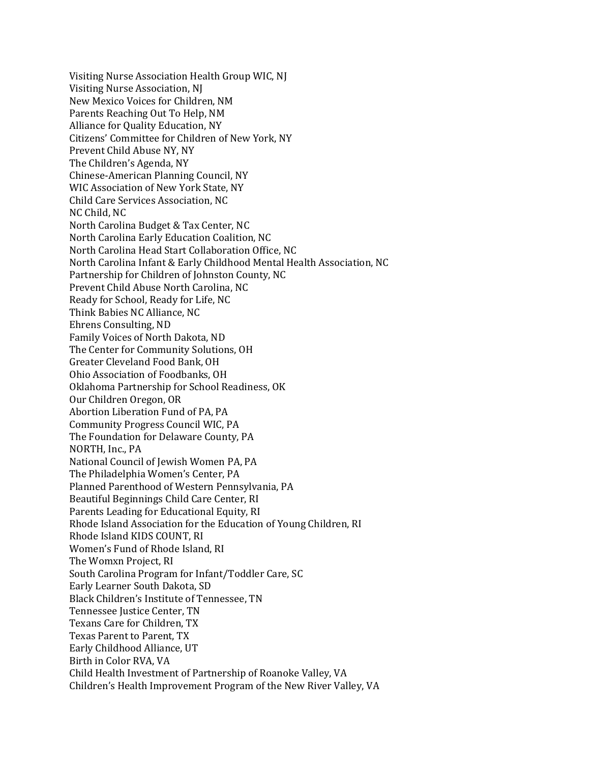Visiting Nurse Association Health Group WIC, NJ Visiting Nurse Association, NJ New Mexico Voices for Children, NM Parents Reaching Out To Help, NM Alliance for Quality Education, NY Citizens' Committee for Children of New York, NY Prevent Child Abuse NY, NY The Children's Agenda, NY Chinese-American Planning Council, NY WIC Association of New York State, NY Child Care Services Association, NC NC Child, NC North Carolina Budget & Tax Center, NC North Carolina Early Education Coalition, NC North Carolina Head Start Collaboration Office, NC North Carolina Infant & Early Childhood Mental Health Association, NC Partnership for Children of Johnston County, NC Prevent Child Abuse North Carolina, NC Ready for School, Ready for Life, NC Think Babies NC Alliance, NC Ehrens Consulting, ND Family Voices of North Dakota, ND The Center for Community Solutions, OH Greater Cleveland Food Bank, OH Ohio Association of Foodbanks, OH Oklahoma Partnership for School Readiness, OK Our Children Oregon, OR Abortion Liberation Fund of PA, PA Community Progress Council WIC, PA The Foundation for Delaware County, PA NORTH, Inc., PA National Council of Jewish Women PA, PA The Philadelphia Women's Center, PA Planned Parenthood of Western Pennsylvania, PA Beautiful Beginnings Child Care Center, RI Parents Leading for Educational Equity, RI Rhode Island Association for the Education of Young Children, RI Rhode Island KIDS COUNT, RI Women's Fund of Rhode Island, RI The Womxn Project, RI South Carolina Program for Infant/Toddler Care, SC Early Learner South Dakota, SD Black Children's Institute of Tennessee, TN Tennessee Justice Center, TN Texans Care for Children, TX Texas Parent to Parent, TX Early Childhood Alliance, UT Birth in Color RVA, VA Child Health Investment of Partnership of Roanoke Valley, VA Children's Health Improvement Program of the New River Valley, VA